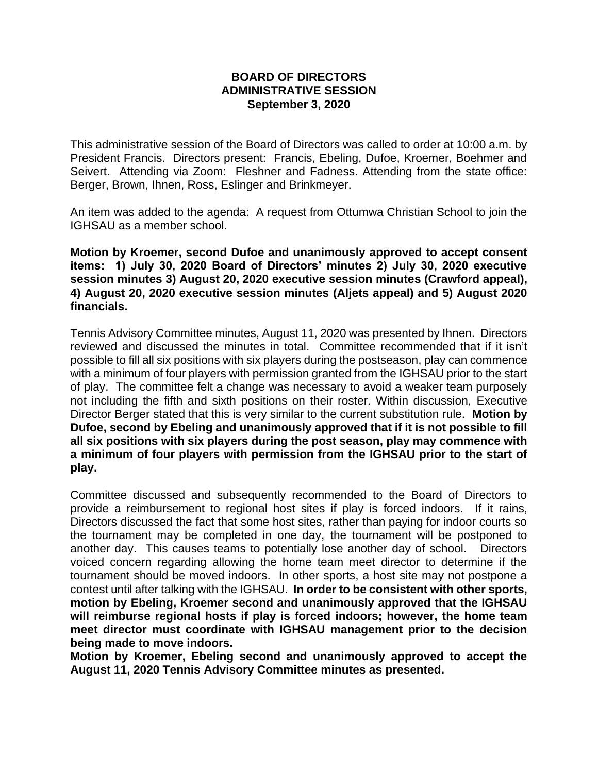## **BOARD OF DIRECTORS ADMINISTRATIVE SESSION September 3, 2020**

This administrative session of the Board of Directors was called to order at 10:00 a.m. by President Francis. Directors present: Francis, Ebeling, Dufoe, Kroemer, Boehmer and Seivert. Attending via Zoom: Fleshner and Fadness. Attending from the state office: Berger, Brown, Ihnen, Ross, Eslinger and Brinkmeyer.

An item was added to the agenda: A request from Ottumwa Christian School to join the IGHSAU as a member school.

**Motion by Kroemer, second Dufoe and unanimously approved to accept consent items: 1) July 30, 2020 Board of Directors' minutes 2) July 30, 2020 executive session minutes 3) August 20, 2020 executive session minutes (Crawford appeal), 4) August 20, 2020 executive session minutes (Aljets appeal) and 5) August 2020 financials.**

Tennis Advisory Committee minutes, August 11, 2020 was presented by Ihnen. Directors reviewed and discussed the minutes in total. Committee recommended that if it isn't possible to fill all six positions with six players during the postseason, play can commence with a minimum of four players with permission granted from the IGHSAU prior to the start of play. The committee felt a change was necessary to avoid a weaker team purposely not including the fifth and sixth positions on their roster. Within discussion, Executive Director Berger stated that this is very similar to the current substitution rule. **Motion by Dufoe, second by Ebeling and unanimously approved that if it is not possible to fill all six positions with six players during the post season, play may commence with a minimum of four players with permission from the IGHSAU prior to the start of play.**

Committee discussed and subsequently recommended to the Board of Directors to provide a reimbursement to regional host sites if play is forced indoors. If it rains, Directors discussed the fact that some host sites, rather than paying for indoor courts so the tournament may be completed in one day, the tournament will be postponed to another day. This causes teams to potentially lose another day of school. Directors voiced concern regarding allowing the home team meet director to determine if the tournament should be moved indoors. In other sports, a host site may not postpone a contest until after talking with the IGHSAU. **In order to be consistent with other sports, motion by Ebeling, Kroemer second and unanimously approved that the IGHSAU will reimburse regional hosts if play is forced indoors; however, the home team meet director must coordinate with IGHSAU management prior to the decision being made to move indoors.** 

**Motion by Kroemer, Ebeling second and unanimously approved to accept the August 11, 2020 Tennis Advisory Committee minutes as presented.**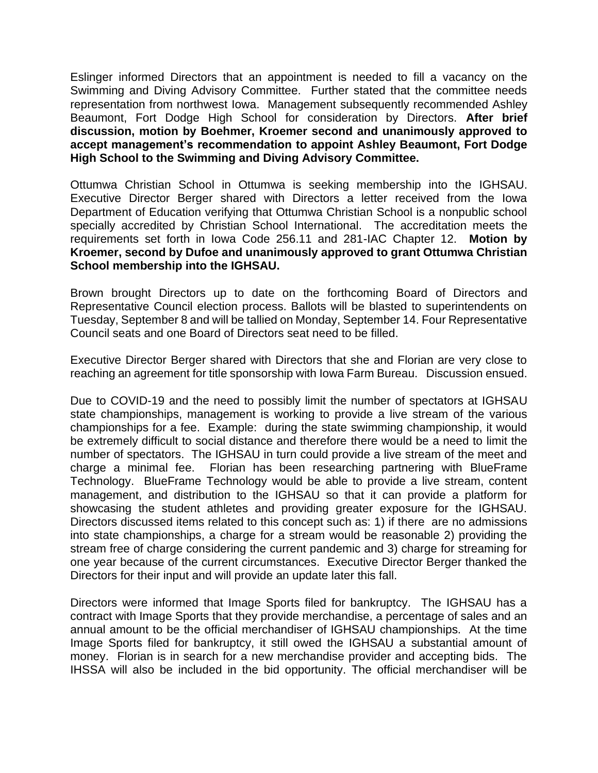Eslinger informed Directors that an appointment is needed to fill a vacancy on the Swimming and Diving Advisory Committee. Further stated that the committee needs representation from northwest Iowa. Management subsequently recommended Ashley Beaumont, Fort Dodge High School for consideration by Directors. **After brief discussion, motion by Boehmer, Kroemer second and unanimously approved to accept management's recommendation to appoint Ashley Beaumont, Fort Dodge High School to the Swimming and Diving Advisory Committee.**

Ottumwa Christian School in Ottumwa is seeking membership into the IGHSAU. Executive Director Berger shared with Directors a letter received from the Iowa Department of Education verifying that Ottumwa Christian School is a nonpublic school specially accredited by Christian School International. The accreditation meets the requirements set forth in Iowa Code 256.11 and 281-IAC Chapter 12. **Motion by Kroemer, second by Dufoe and unanimously approved to grant Ottumwa Christian School membership into the IGHSAU.**

Brown brought Directors up to date on the forthcoming Board of Directors and Representative Council election process. Ballots will be blasted to superintendents on Tuesday, September 8 and will be tallied on Monday, September 14. Four Representative Council seats and one Board of Directors seat need to be filled.

Executive Director Berger shared with Directors that she and Florian are very close to reaching an agreement for title sponsorship with Iowa Farm Bureau. Discussion ensued.

Due to COVID-19 and the need to possibly limit the number of spectators at IGHSAU state championships, management is working to provide a live stream of the various championships for a fee. Example: during the state swimming championship, it would be extremely difficult to social distance and therefore there would be a need to limit the number of spectators. The IGHSAU in turn could provide a live stream of the meet and charge a minimal fee. Florian has been researching partnering with BlueFrame Technology. BlueFrame Technology would be able to provide a live stream, content management, and distribution to the IGHSAU so that it can provide a platform for showcasing the student athletes and providing greater exposure for the IGHSAU. Directors discussed items related to this concept such as: 1) if there are no admissions into state championships, a charge for a stream would be reasonable 2) providing the stream free of charge considering the current pandemic and 3) charge for streaming for one year because of the current circumstances. Executive Director Berger thanked the Directors for their input and will provide an update later this fall.

Directors were informed that Image Sports filed for bankruptcy. The IGHSAU has a contract with Image Sports that they provide merchandise, a percentage of sales and an annual amount to be the official merchandiser of IGHSAU championships. At the time Image Sports filed for bankruptcy, it still owed the IGHSAU a substantial amount of money. Florian is in search for a new merchandise provider and accepting bids. The IHSSA will also be included in the bid opportunity. The official merchandiser will be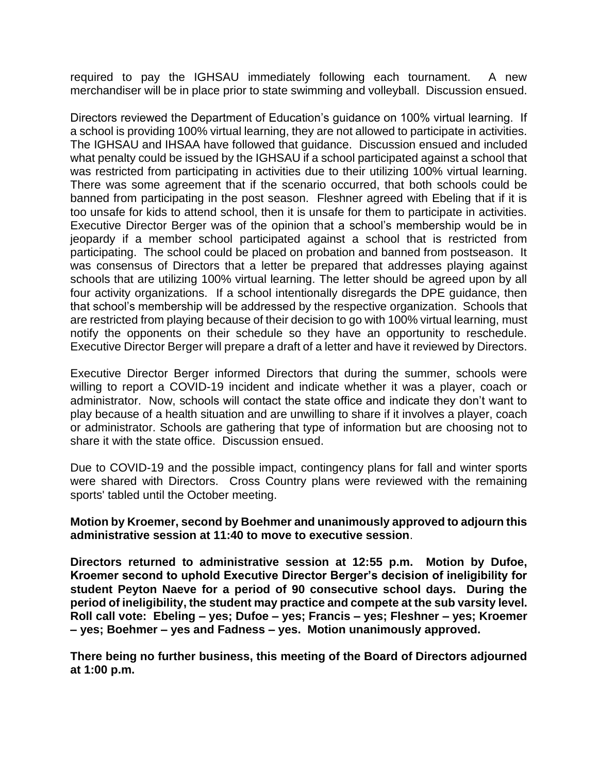required to pay the IGHSAU immediately following each tournament. A new merchandiser will be in place prior to state swimming and volleyball. Discussion ensued.

Directors reviewed the Department of Education's guidance on 100% virtual learning. If a school is providing 100% virtual learning, they are not allowed to participate in activities. The IGHSAU and IHSAA have followed that guidance. Discussion ensued and included what penalty could be issued by the IGHSAU if a school participated against a school that was restricted from participating in activities due to their utilizing 100% virtual learning. There was some agreement that if the scenario occurred, that both schools could be banned from participating in the post season. Fleshner agreed with Ebeling that if it is too unsafe for kids to attend school, then it is unsafe for them to participate in activities. Executive Director Berger was of the opinion that a school's membership would be in jeopardy if a member school participated against a school that is restricted from participating. The school could be placed on probation and banned from postseason. It was consensus of Directors that a letter be prepared that addresses playing against schools that are utilizing 100% virtual learning. The letter should be agreed upon by all four activity organizations. If a school intentionally disregards the DPE guidance, then that school's membership will be addressed by the respective organization. Schools that are restricted from playing because of their decision to go with 100% virtual learning, must notify the opponents on their schedule so they have an opportunity to reschedule. Executive Director Berger will prepare a draft of a letter and have it reviewed by Directors.

Executive Director Berger informed Directors that during the summer, schools were willing to report a COVID-19 incident and indicate whether it was a player, coach or administrator. Now, schools will contact the state office and indicate they don't want to play because of a health situation and are unwilling to share if it involves a player, coach or administrator. Schools are gathering that type of information but are choosing not to share it with the state office. Discussion ensued.

Due to COVID-19 and the possible impact, contingency plans for fall and winter sports were shared with Directors. Cross Country plans were reviewed with the remaining sports' tabled until the October meeting.

**Motion by Kroemer, second by Boehmer and unanimously approved to adjourn this administrative session at 11:40 to move to executive session**.

**Directors returned to administrative session at 12:55 p.m. Motion by Dufoe, Kroemer second to uphold Executive Director Berger's decision of ineligibility for student Peyton Naeve for a period of 90 consecutive school days. During the period of ineligibility, the student may practice and compete at the sub varsity level. Roll call vote: Ebeling – yes; Dufoe – yes; Francis – yes; Fleshner – yes; Kroemer – yes; Boehmer – yes and Fadness – yes. Motion unanimously approved.**

**There being no further business, this meeting of the Board of Directors adjourned at 1:00 p.m.**